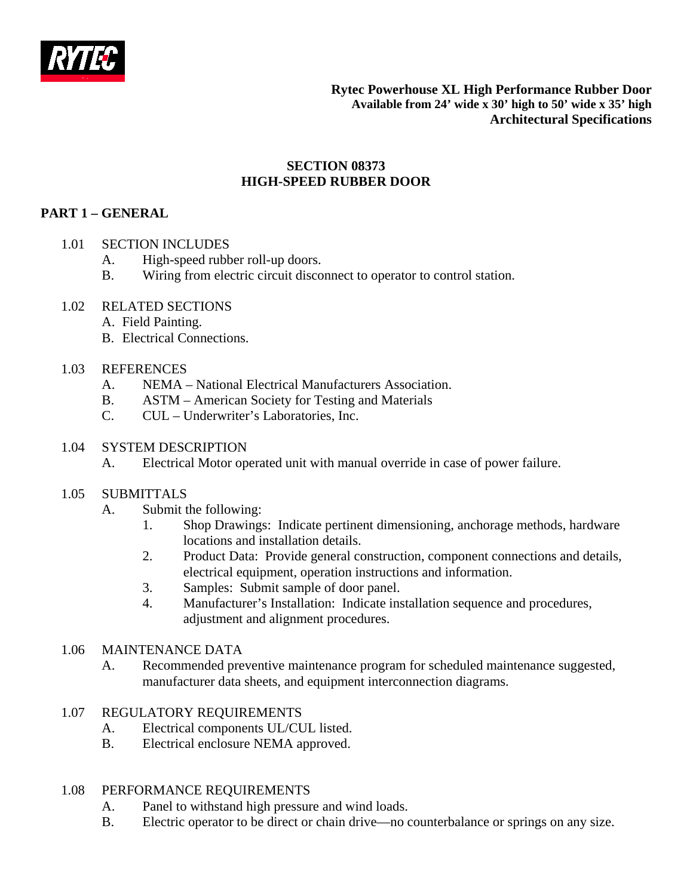

**Rytec Powerhouse XL High Performance Rubber Door Available from 24' wide x 30' high to 50' wide x 35' high Architectural Specifications**

## **SECTION 08373 HIGH-SPEED RUBBER DOOR**

# **PART 1 – GENERAL**

### 1.01 SECTION INCLUDES

- A. High-speed rubber roll-up doors.
- B. Wiring from electric circuit disconnect to operator to control station.

#### 1.02 RELATED SECTIONS

- A. Field Painting.
- B. Electrical Connections.

### 1.03 REFERENCES

- A. NEMA National Electrical Manufacturers Association.
- B. ASTM American Society for Testing and Materials
- C. CUL Underwriter's Laboratories, Inc.

### 1.04 SYSTEM DESCRIPTION

A. Electrical Motor operated unit with manual override in case of power failure.

#### 1.05 SUBMITTALS

- A. Submit the following:
	- 1. Shop Drawings: Indicate pertinent dimensioning, anchorage methods, hardware locations and installation details.
	- 2. Product Data: Provide general construction, component connections and details, electrical equipment, operation instructions and information.
	- 3. Samples: Submit sample of door panel.
	- 4. Manufacturer's Installation: Indicate installation sequence and procedures, adjustment and alignment procedures.

## 1.06 MAINTENANCE DATA

A. Recommended preventive maintenance program for scheduled maintenance suggested, manufacturer data sheets, and equipment interconnection diagrams.

## 1.07 REGULATORY REQUIREMENTS

- A. Electrical components UL/CUL listed.
- B. Electrical enclosure NEMA approved.

#### 1.08 PERFORMANCE REQUIREMENTS

- A. Panel to withstand high pressure and wind loads.
- B. Electric operator to be direct or chain drive—no counterbalance or springs on any size.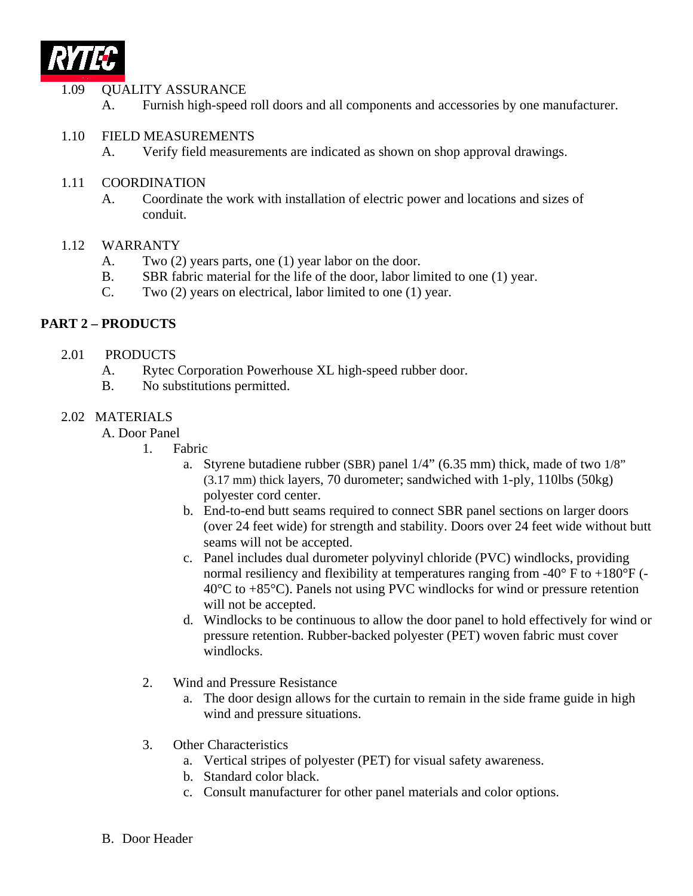

### 1.09 QUALITY ASSURANCE

- A. Furnish high-speed roll doors and all components and accessories by one manufacturer.
- 1.10 FIELD MEASUREMENTS
	- A. Verify field measurements are indicated as shown on shop approval drawings.
- 1.11 COORDINATION
	- A. Coordinate the work with installation of electric power and locations and sizes of conduit.

### 1.12 WARRANTY

- A. Two (2) years parts, one (1) year labor on the door.
- B. SBR fabric material for the life of the door, labor limited to one (1) year.
- C. Two (2) years on electrical, labor limited to one (1) year.

## **PART 2 – PRODUCTS**

- 2.01 PRODUCTS
	- A. Rytec Corporation Powerhouse XL high-speed rubber door.
	- B. No substitutions permitted.

## 2.02 MATERIALS

- A. Door Panel
	- 1. Fabric
		- a. Styrene butadiene rubber (SBR) panel 1/4" (6.35 mm) thick, made of two 1/8" (3.17 mm) thick layers, 70 durometer; sandwiched with 1-ply, 110lbs (50kg) polyester cord center.
		- b. End-to-end butt seams required to connect SBR panel sections on larger doors (over 24 feet wide) for strength and stability. Doors over 24 feet wide without butt seams will not be accepted.
		- c. Panel includes dual durometer polyvinyl chloride (PVC) windlocks, providing normal resiliency and flexibility at temperatures ranging from  $-40^{\circ}$  F to  $+180^{\circ}$ F (-40°C to +85°C). Panels not using PVC windlocks for wind or pressure retention will not be accepted.
		- d. Windlocks to be continuous to allow the door panel to hold effectively for wind or pressure retention. Rubber-backed polyester (PET) woven fabric must cover windlocks.
	- 2. Wind and Pressure Resistance
		- a. The door design allows for the curtain to remain in the side frame guide in high wind and pressure situations.
	- 3. Other Characteristics
		- a. Vertical stripes of polyester (PET) for visual safety awareness.
		- b. Standard color black.
		- c. Consult manufacturer for other panel materials and color options.
- B. Door Header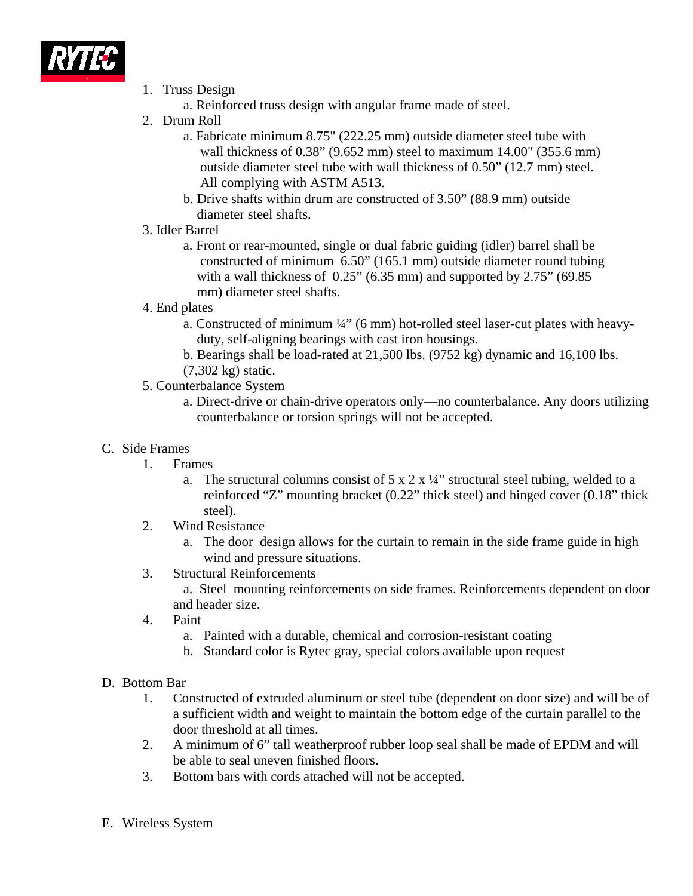

- 1. Truss Design
	- a. Reinforced truss design with angular frame made of steel.
- 2. Drum Roll
	- a. Fabricate minimum 8.75" (222.25 mm) outside diameter steel tube with wall thickness of 0.38" (9.652 mm) steel to maximum 14.00" (355.6 mm) outside diameter steel tube with wall thickness of 0.50" (12.7 mm) steel. All complying with ASTM A513.
	- b. Drive shafts within drum are constructed of 3.50" (88.9 mm) outside diameter steel shafts.
- 3. Idler Barrel
	- a. Front or rear-mounted, single or dual fabric guiding (idler) barrel shall be constructed of minimum 6.50" (165.1 mm) outside diameter round tubing with a wall thickness of  $0.25$ " (6.35 mm) and supported by  $2.75$ " (69.85) mm) diameter steel shafts.
- 4. End plates
	- a. Constructed of minimum  $\frac{1}{4}$ " (6 mm) hot-rolled steel laser-cut plates with heavyduty, self-aligning bearings with cast iron housings.
	- b. Bearings shall be load-rated at 21,500 lbs. (9752 kg) dynamic and 16,100 lbs.
	- (7,302 kg) static.
- 5. Counterbalance System
	- a. Direct-drive or chain-drive operators only—no counterbalance. Any doors utilizing counterbalance or torsion springs will not be accepted.

## C. Side Frames

- 1. Frames
	- a. The structural columns consist of  $5 \times 2 \times \frac{1}{4}$  structural steel tubing, welded to a reinforced "Z" mounting bracket (0.22" thick steel) and hinged cover (0.18" thick steel).
- 2. Wind Resistance
	- a. The door design allows for the curtain to remain in the side frame guide in high wind and pressure situations.
- 3. Structural Reinforcements
	- a. Steel mounting reinforcements on side frames. Reinforcements dependent on door and header size.
- 4. Paint
	- a. Painted with a durable, chemical and corrosion-resistant coating
	- b. Standard color is Rytec gray, special colors available upon request

## D. Bottom Bar

- 1. Constructed of extruded aluminum or steel tube (dependent on door size) and will be of a sufficient width and weight to maintain the bottom edge of the curtain parallel to the door threshold at all times.
- 2. A minimum of 6" tall weatherproof rubber loop seal shall be made of EPDM and will be able to seal uneven finished floors.
- 3. Bottom bars with cords attached will not be accepted.
- E. Wireless System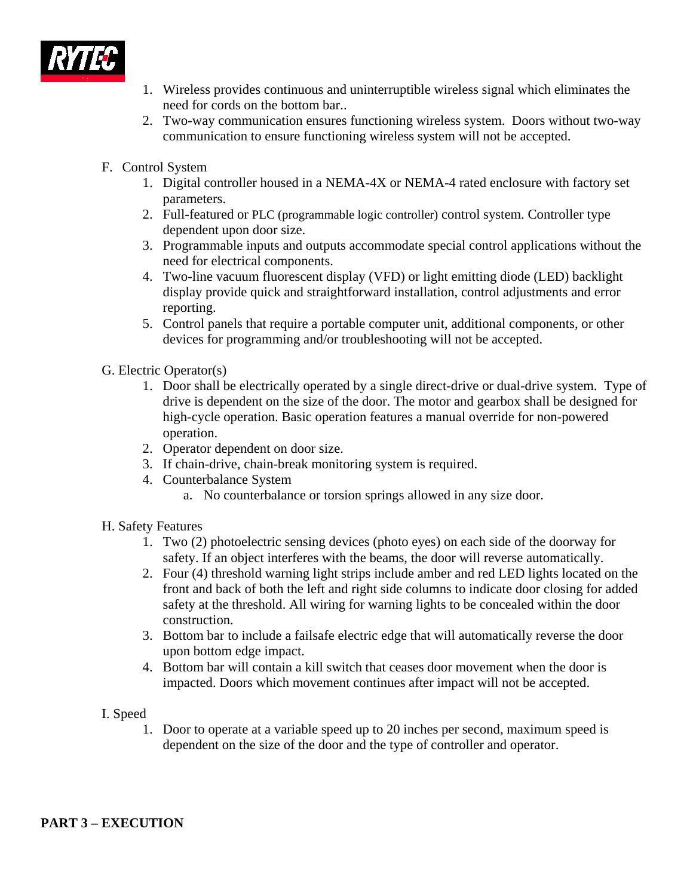

- 1. Wireless provides continuous and uninterruptible wireless signal which eliminates the need for cords on the bottom bar..
- 2. Two-way communication ensures functioning wireless system. Doors without two-way communication to ensure functioning wireless system will not be accepted.
- F. Control System
	- 1. Digital controller housed in a NEMA-4X or NEMA-4 rated enclosure with factory set parameters.
	- 2. Full-featured or PLC (programmable logic controller) control system. Controller type dependent upon door size.
	- 3. Programmable inputs and outputs accommodate special control applications without the need for electrical components.
	- 4. Two-line vacuum fluorescent display (VFD) or light emitting diode (LED) backlight display provide quick and straightforward installation, control adjustments and error reporting.
	- 5. Control panels that require a portable computer unit, additional components, or other devices for programming and/or troubleshooting will not be accepted.
- G. Electric Operator(s)
	- 1. Door shall be electrically operated by a single direct-drive or dual-drive system. Type of drive is dependent on the size of the door. The motor and gearbox shall be designed for high-cycle operation. Basic operation features a manual override for non-powered operation.
	- 2. Operator dependent on door size.
	- 3. If chain-drive, chain-break monitoring system is required.
	- 4. Counterbalance System
		- a. No counterbalance or torsion springs allowed in any size door.
- H. Safety Features
	- 1. Two (2) photoelectric sensing devices (photo eyes) on each side of the doorway for safety. If an object interferes with the beams, the door will reverse automatically.
	- 2. Four (4) threshold warning light strips include amber and red LED lights located on the front and back of both the left and right side columns to indicate door closing for added safety at the threshold. All wiring for warning lights to be concealed within the door construction.
	- 3. Bottom bar to include a failsafe electric edge that will automatically reverse the door upon bottom edge impact.
	- 4. Bottom bar will contain a kill switch that ceases door movement when the door is impacted. Doors which movement continues after impact will not be accepted.
- I. Speed
	- 1. Door to operate at a variable speed up to 20 inches per second, maximum speed is dependent on the size of the door and the type of controller and operator.